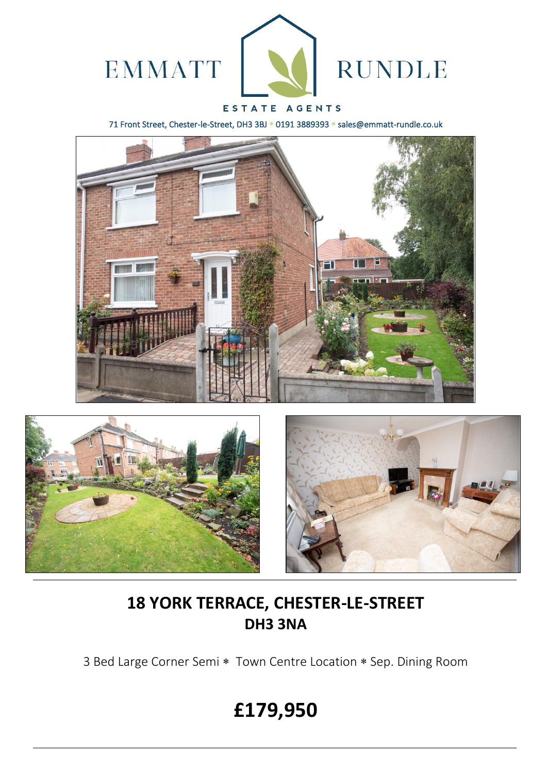

### ESTATE AGENTS

71 Front Street, Chester-le-Street, DH3 3BJ \* 0191 3889393 \* sales@emmatt-rundle.co.uk







## **18 YORK TERRACE, CHESTER-LE-STREET DH3 3NA**

3 Bed Large Corner Semi \* Town Centre Location \* Sep. Dining Room

# **£179,950**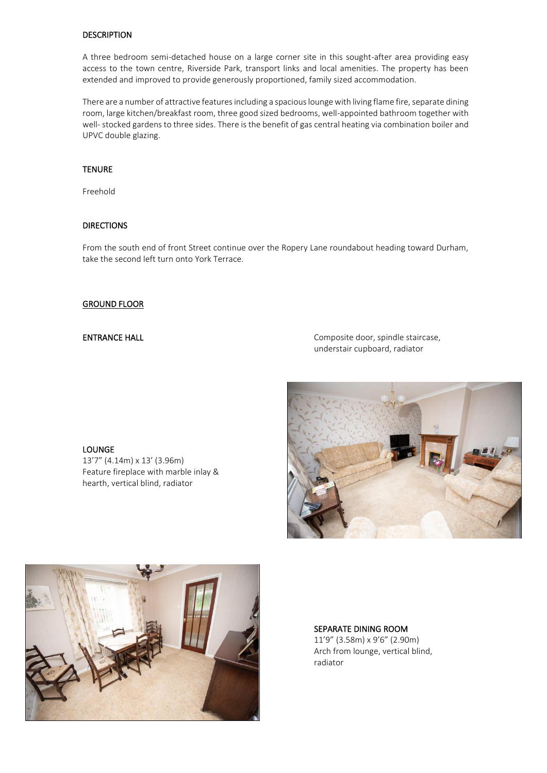#### **DESCRIPTION**

A three bedroom semi-detached house on a large corner site in this sought-after area providing easy access to the town centre, Riverside Park, transport links and local amenities. The property has been extended and improved to provide generously proportioned, family sized accommodation.

There are a number of attractive features including a spacious lounge with living flame fire, separate dining room, large kitchen/breakfast room, three good sized bedrooms, well-appointed bathroom together with well- stocked gardens to three sides. There is the benefit of gas central heating via combination boiler and UPVC double glazing.

#### **TENURE**

Freehold

#### **DIRECTIONS**

From the south end of front Street continue over the Ropery Lane roundabout heading toward Durham, take the second left turn onto York Terrace.

#### GROUND FLOOR

LOUNGE

13'7" (4.14m) x 13' (3.96m)

Feature fireplace with marble inlay & hearth, vertical blind, radiator

ENTRANCE HALL **ENTRANCE HALL Composite door**, spindle staircase, understair cupboard, radiator





SEPARATE DINING ROOM 11'9" (3.58m) x 9'6" (2.90m) Arch from lounge, vertical blind, radiator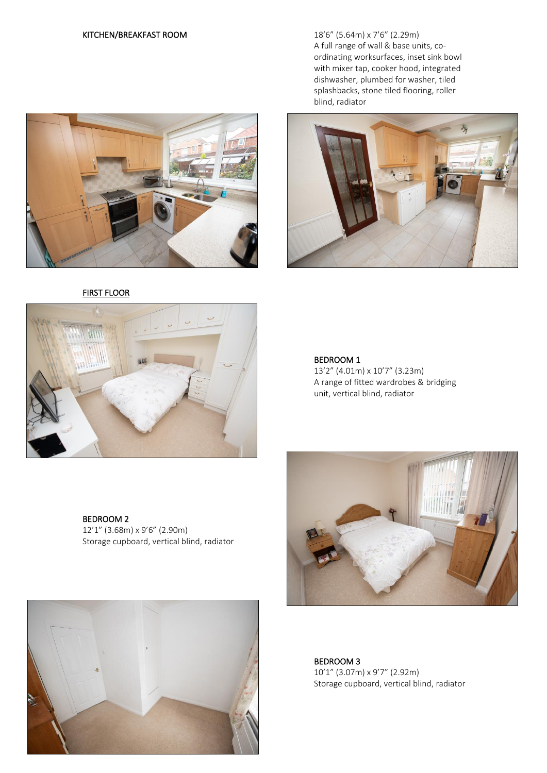

FIRST FLOOR



KITCHEN/BREAKFAST ROOM 18'6" (5.64m) x 7'6" (2.29m) A full range of wall & base units, coordinating worksurfaces, inset sink bowl with mixer tap, cooker hood, integrated dishwasher, plumbed for washer, tiled splashbacks, stone tiled flooring, roller blind, radiator



### BEDROOM 1

13'2" (4.01m) x 10'7" (3.23m) A range of fitted wardrobes & bridging unit, vertical blind, radiator

BEDROOM 2 12'1" (3.68m) x 9'6" (2.90m) Storage cupboard, vertical blind, radiator